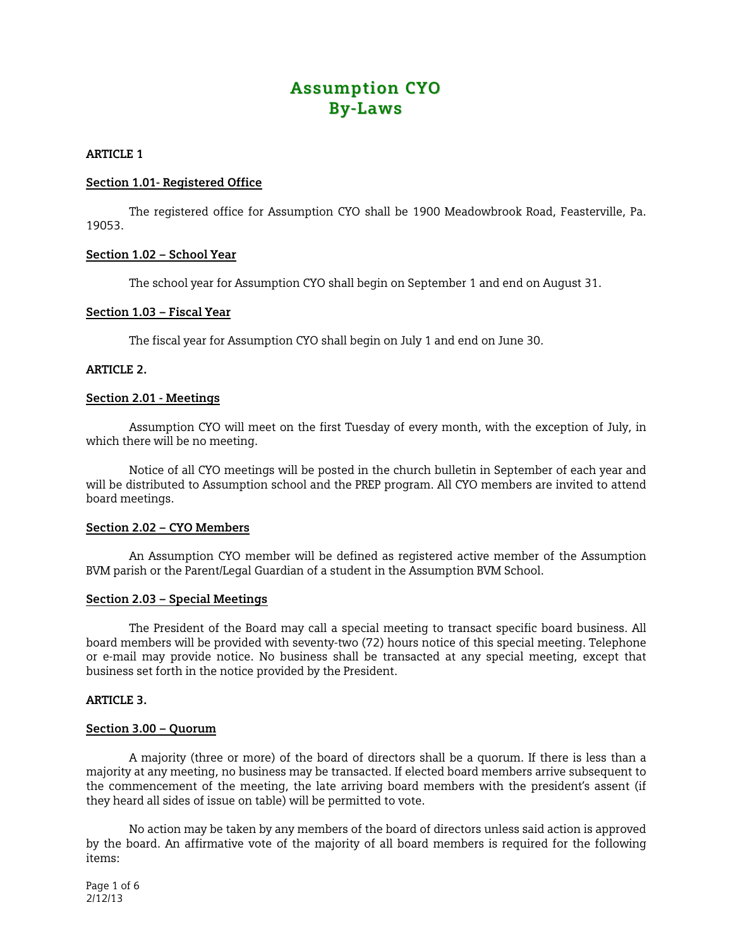# **Assumption CYO By-Laws**

# **ARTICLE 1**

# **Section 1.01- Registered Office**

 The registered office for Assumption CYO shall be 1900 Meadowbrook Road, Feasterville, Pa. 19053.

# **Section 1.02 – School Year**

The school year for Assumption CYO shall begin on September 1 and end on August 31.

## **Section 1.03 – Fiscal Year**

The fiscal year for Assumption CYO shall begin on July 1 and end on June 30.

# **ARTICLE 2.**

# **Section 2.01 - Meetings**

 Assumption CYO will meet on the first Tuesday of every month, with the exception of July, in which there will be no meeting.

Notice of all CYO meetings will be posted in the church bulletin in September of each year and will be distributed to Assumption school and the PREP program. All CYO members are invited to attend board meetings.

## **Section 2.02 – CYO Members**

 An Assumption CYO member will be defined as registered active member of the Assumption BVM parish or the Parent/Legal Guardian of a student in the Assumption BVM School.

# **Section 2.03 – Special Meetings**

 The President of the Board may call a special meeting to transact specific board business. All board members will be provided with seventy-two (72) hours notice of this special meeting. Telephone or e-mail may provide notice. No business shall be transacted at any special meeting, except that business set forth in the notice provided by the President.

## **ARTICLE 3.**

## **Section 3.00 – Quorum**

 A majority (three or more) of the board of directors shall be a quorum. If there is less than a majority at any meeting, no business may be transacted. If elected board members arrive subsequent to the commencement of the meeting, the late arriving board members with the president's assent (if they heard all sides of issue on table) will be permitted to vote.

No action may be taken by any members of the board of directors unless said action is approved by the board. An affirmative vote of the majority of all board members is required for the following items:

Page 1 of 6 2/12/13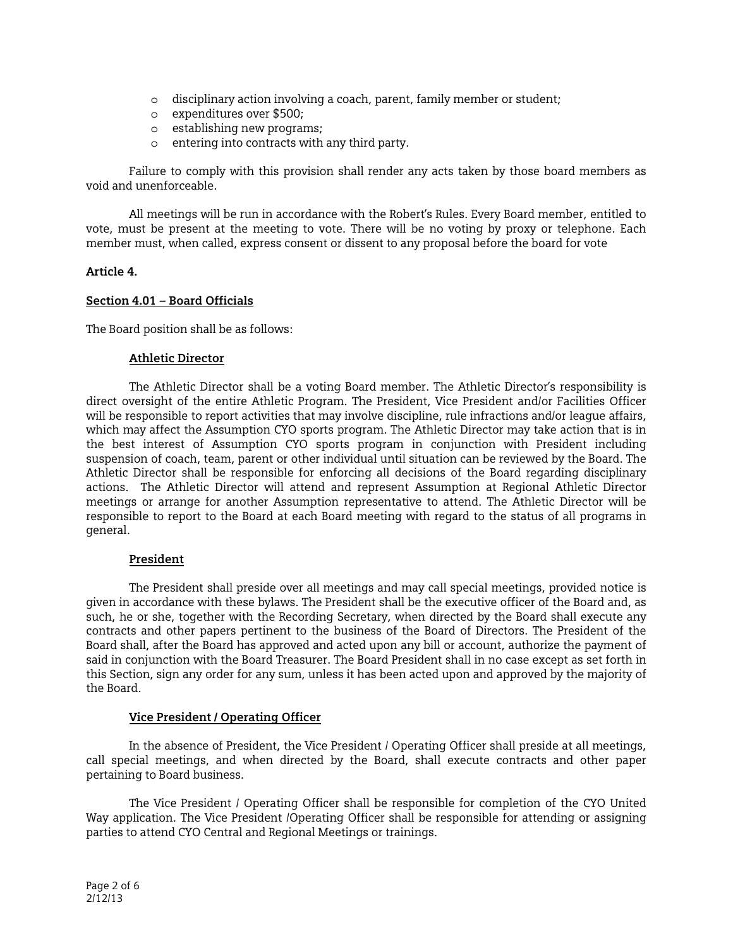- o disciplinary action involving a coach, parent, family member or student;
- o expenditures over \$500;
- o establishing new programs;
- o entering into contracts with any third party.

Failure to comply with this provision shall render any acts taken by those board members as void and unenforceable.

 All meetings will be run in accordance with the Robert's Rules. Every Board member, entitled to vote, must be present at the meeting to vote. There will be no voting by proxy or telephone. Each member must, when called, express consent or dissent to any proposal before the board for vote

# **Article 4.**

# **Section 4.01 – Board Officials**

The Board position shall be as follows:

## **Athletic Director**

The Athletic Director shall be a voting Board member. The Athletic Director's responsibility is direct oversight of the entire Athletic Program. The President, Vice President and/or Facilities Officer will be responsible to report activities that may involve discipline, rule infractions and/or league affairs, which may affect the Assumption CYO sports program. The Athletic Director may take action that is in the best interest of Assumption CYO sports program in conjunction with President including suspension of coach, team, parent or other individual until situation can be reviewed by the Board. The Athletic Director shall be responsible for enforcing all decisions of the Board regarding disciplinary actions. The Athletic Director will attend and represent Assumption at Regional Athletic Director meetings or arrange for another Assumption representative to attend. The Athletic Director will be responsible to report to the Board at each Board meeting with regard to the status of all programs in general.

## **President**

 The President shall preside over all meetings and may call special meetings, provided notice is given in accordance with these bylaws. The President shall be the executive officer of the Board and, as such, he or she, together with the Recording Secretary, when directed by the Board shall execute any contracts and other papers pertinent to the business of the Board of Directors. The President of the Board shall, after the Board has approved and acted upon any bill or account, authorize the payment of said in conjunction with the Board Treasurer. The Board President shall in no case except as set forth in this Section, sign any order for any sum, unless it has been acted upon and approved by the majority of the Board.

## **Vice President / Operating Officer**

 In the absence of President, the Vice President / Operating Officer shall preside at all meetings, call special meetings, and when directed by the Board, shall execute contracts and other paper pertaining to Board business.

 The Vice President / Operating Officer shall be responsible for completion of the CYO United Way application. The Vice President /Operating Officer shall be responsible for attending or assigning parties to attend CYO Central and Regional Meetings or trainings.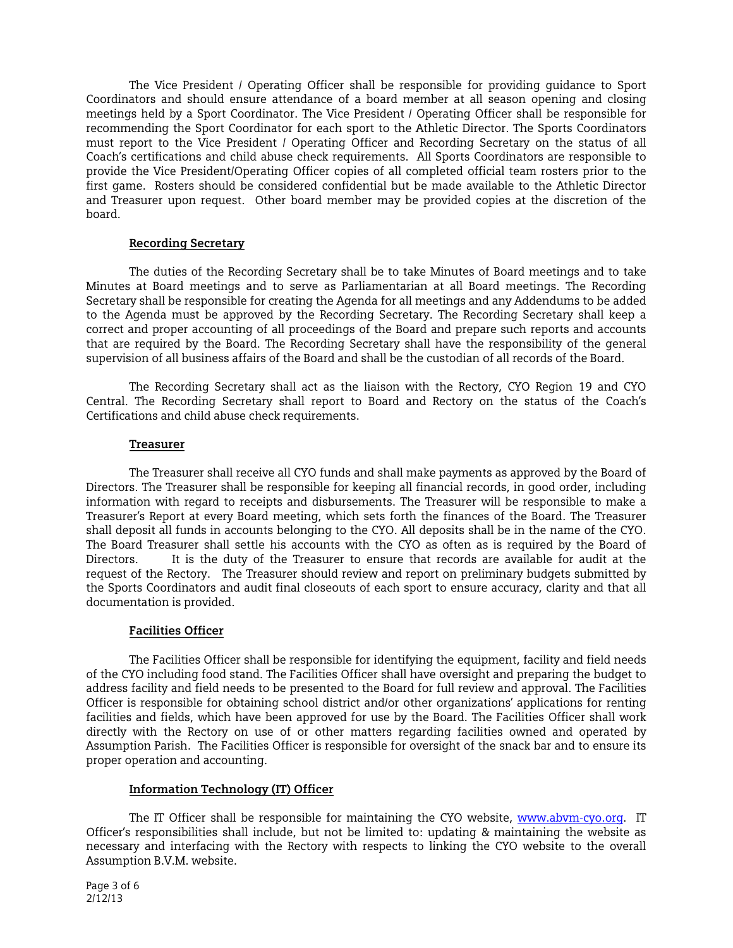The Vice President / Operating Officer shall be responsible for providing guidance to Sport Coordinators and should ensure attendance of a board member at all season opening and closing meetings held by a Sport Coordinator. The Vice President / Operating Officer shall be responsible for recommending the Sport Coordinator for each sport to the Athletic Director. The Sports Coordinators must report to the Vice President / Operating Officer and Recording Secretary on the status of all Coach's certifications and child abuse check requirements. All Sports Coordinators are responsible to provide the Vice President/Operating Officer copies of all completed official team rosters prior to the first game. Rosters should be considered confidential but be made available to the Athletic Director and Treasurer upon request. Other board member may be provided copies at the discretion of the board.

# **Recording Secretary**

The duties of the Recording Secretary shall be to take Minutes of Board meetings and to take Minutes at Board meetings and to serve as Parliamentarian at all Board meetings. The Recording Secretary shall be responsible for creating the Agenda for all meetings and any Addendums to be added to the Agenda must be approved by the Recording Secretary. The Recording Secretary shall keep a correct and proper accounting of all proceedings of the Board and prepare such reports and accounts that are required by the Board. The Recording Secretary shall have the responsibility of the general supervision of all business affairs of the Board and shall be the custodian of all records of the Board.

The Recording Secretary shall act as the liaison with the Rectory, CYO Region 19 and CYO Central. The Recording Secretary shall report to Board and Rectory on the status of the Coach's Certifications and child abuse check requirements.

# **Treasurer**

 The Treasurer shall receive all CYO funds and shall make payments as approved by the Board of Directors. The Treasurer shall be responsible for keeping all financial records, in good order, including information with regard to receipts and disbursements. The Treasurer will be responsible to make a Treasurer's Report at every Board meeting, which sets forth the finances of the Board. The Treasurer shall deposit all funds in accounts belonging to the CYO. All deposits shall be in the name of the CYO. The Board Treasurer shall settle his accounts with the CYO as often as is required by the Board of Directors. It is the duty of the Treasurer to ensure that records are available for audit at the request of the Rectory. The Treasurer should review and report on preliminary budgets submitted by the Sports Coordinators and audit final closeouts of each sport to ensure accuracy, clarity and that all documentation is provided.

# **Facilities Officer**

 The Facilities Officer shall be responsible for identifying the equipment, facility and field needs of the CYO including food stand. The Facilities Officer shall have oversight and preparing the budget to address facility and field needs to be presented to the Board for full review and approval. The Facilities Officer is responsible for obtaining school district and/or other organizations' applications for renting facilities and fields, which have been approved for use by the Board. The Facilities Officer shall work directly with the Rectory on use of or other matters regarding facilities owned and operated by Assumption Parish. The Facilities Officer is responsible for oversight of the snack bar and to ensure its proper operation and accounting.

# **Information Technology (IT) Officer**

 The IT Officer shall be responsible for maintaining the CYO website, [www.abvm-cyo.org.](http://www.abvm-cyo.org/) IT Officer's responsibilities shall include, but not be limited to: updating & maintaining the website as necessary and interfacing with the Rectory with respects to linking the CYO website to the overall Assumption B.V.M. website.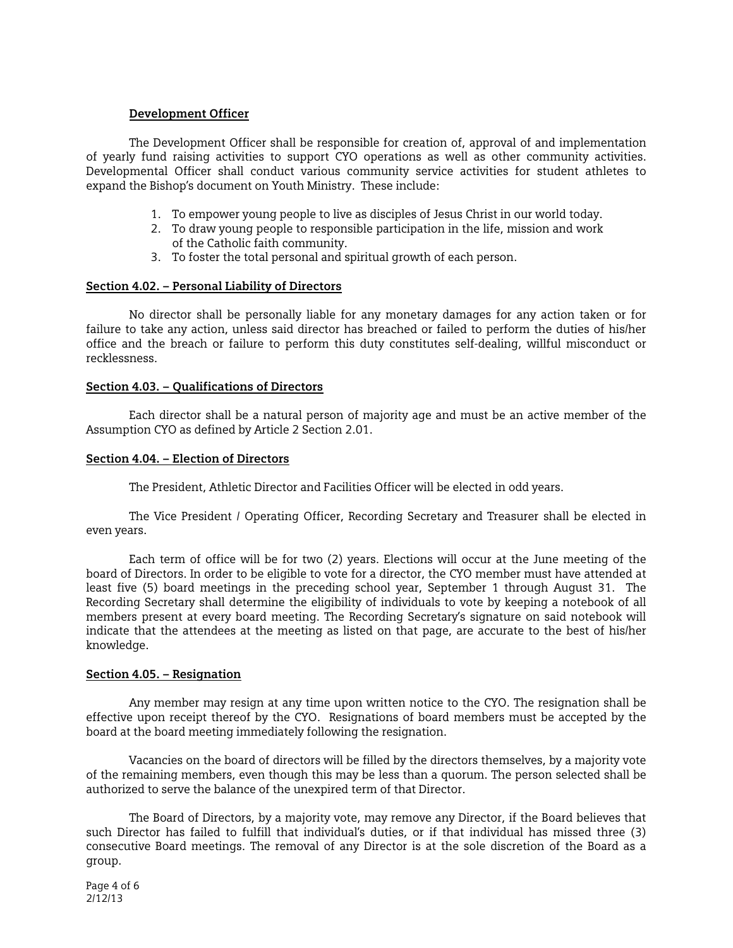# **Development Officer**

 The Development Officer shall be responsible for creation of, approval of and implementation of yearly fund raising activities to support CYO operations as well as other community activities. Developmental Officer shall conduct various community service activities for student athletes to expand the Bishop's document on Youth Ministry. These include:

- 1. To empower young people to live as disciples of Jesus Christ in our world today.
- 2. To draw young people to responsible participation in the life, mission and work of the Catholic faith community.
- 3. To foster the total personal and spiritual growth of each person.

# **Section 4.02. – Personal Liability of Directors**

 No director shall be personally liable for any monetary damages for any action taken or for failure to take any action, unless said director has breached or failed to perform the duties of his/her office and the breach or failure to perform this duty constitutes self-dealing, willful misconduct or recklessness.

# **Section 4.03. – Qualifications of Directors**

 Each director shall be a natural person of majority age and must be an active member of the Assumption CYO as defined by Article 2 Section 2.01.

# **Section 4.04. – Election of Directors**

The President, Athletic Director and Facilities Officer will be elected in odd years.

The Vice President / Operating Officer, Recording Secretary and Treasurer shall be elected in even years.

Each term of office will be for two (2) years. Elections will occur at the June meeting of the board of Directors. In order to be eligible to vote for a director, the CYO member must have attended at least five (5) board meetings in the preceding school year, September 1 through August 31. The Recording Secretary shall determine the eligibility of individuals to vote by keeping a notebook of all members present at every board meeting. The Recording Secretary's signature on said notebook will indicate that the attendees at the meeting as listed on that page, are accurate to the best of his/her knowledge.

## **Section 4.05. – Resignation**

 Any member may resign at any time upon written notice to the CYO. The resignation shall be effective upon receipt thereof by the CYO. Resignations of board members must be accepted by the board at the board meeting immediately following the resignation.

 Vacancies on the board of directors will be filled by the directors themselves, by a majority vote of the remaining members, even though this may be less than a quorum. The person selected shall be authorized to serve the balance of the unexpired term of that Director.

 The Board of Directors, by a majority vote, may remove any Director, if the Board believes that such Director has failed to fulfill that individual's duties, or if that individual has missed three (3) consecutive Board meetings. The removal of any Director is at the sole discretion of the Board as a group.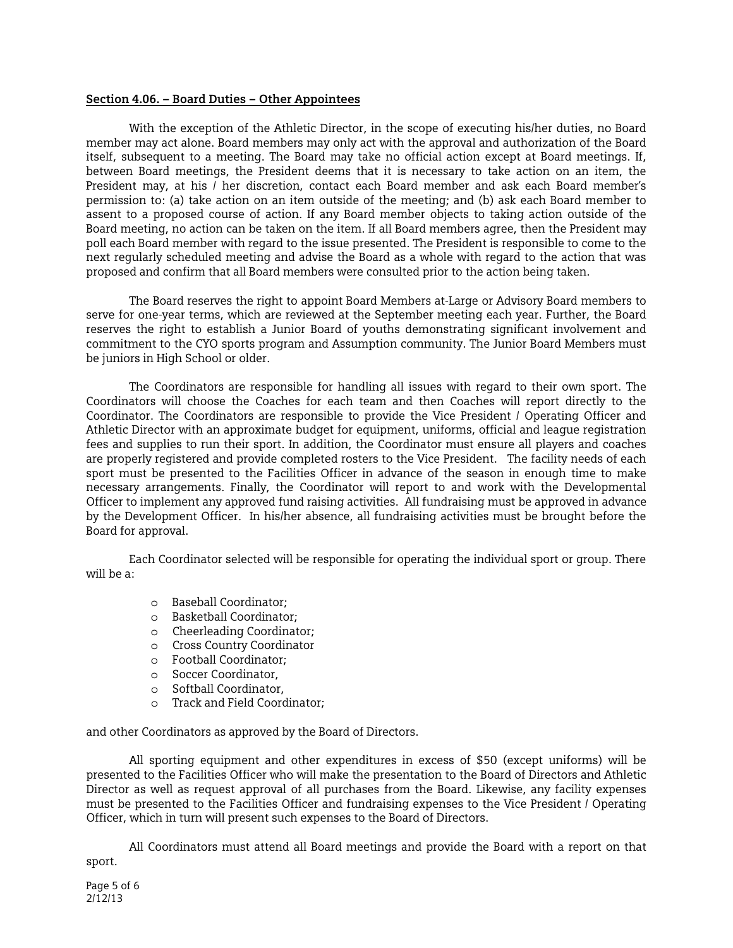#### **Section 4.06. – Board Duties – Other Appointees**

 With the exception of the Athletic Director, in the scope of executing his/her duties, no Board member may act alone. Board members may only act with the approval and authorization of the Board itself, subsequent to a meeting. The Board may take no official action except at Board meetings. If, between Board meetings, the President deems that it is necessary to take action on an item, the President may, at his / her discretion, contact each Board member and ask each Board member's permission to: (a) take action on an item outside of the meeting; and (b) ask each Board member to assent to a proposed course of action. If any Board member objects to taking action outside of the Board meeting, no action can be taken on the item. If all Board members agree, then the President may poll each Board member with regard to the issue presented. The President is responsible to come to the next regularly scheduled meeting and advise the Board as a whole with regard to the action that was proposed and confirm that all Board members were consulted prior to the action being taken.

 The Board reserves the right to appoint Board Members at-Large or Advisory Board members to serve for one-year terms, which are reviewed at the September meeting each year. Further, the Board reserves the right to establish a Junior Board of youths demonstrating significant involvement and commitment to the CYO sports program and Assumption community. The Junior Board Members must be juniors in High School or older.

The Coordinators are responsible for handling all issues with regard to their own sport. The Coordinators will choose the Coaches for each team and then Coaches will report directly to the Coordinator. The Coordinators are responsible to provide the Vice President / Operating Officer and Athletic Director with an approximate budget for equipment, uniforms, official and league registration fees and supplies to run their sport. In addition, the Coordinator must ensure all players and coaches are properly registered and provide completed rosters to the Vice President. The facility needs of each sport must be presented to the Facilities Officer in advance of the season in enough time to make necessary arrangements. Finally, the Coordinator will report to and work with the Developmental Officer to implement any approved fund raising activities. All fundraising must be approved in advance by the Development Officer. In his/her absence, all fundraising activities must be brought before the Board for approval.

Each Coordinator selected will be responsible for operating the individual sport or group. There will be a:

- o Baseball Coordinator;
- o Basketball Coordinator;
- o Cheerleading Coordinator;
- o Cross Country Coordinator
- o Football Coordinator;
- o Soccer Coordinator,
- o Softball Coordinator,
- o Track and Field Coordinator;

and other Coordinators as approved by the Board of Directors.

All sporting equipment and other expenditures in excess of \$50 (except uniforms) will be presented to the Facilities Officer who will make the presentation to the Board of Directors and Athletic Director as well as request approval of all purchases from the Board. Likewise, any facility expenses must be presented to the Facilities Officer and fundraising expenses to the Vice President / Operating Officer, which in turn will present such expenses to the Board of Directors.

 All Coordinators must attend all Board meetings and provide the Board with a report on that sport.